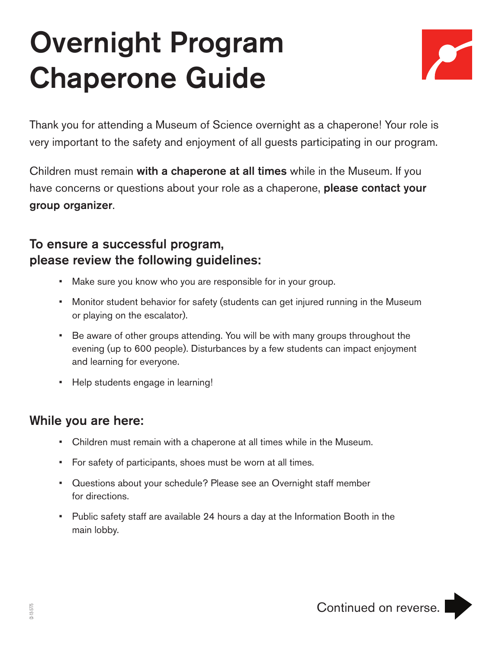# Overnight Program Chaperone Guide



Thank you for attending a Museum of Science overnight as a chaperone! Your role is very important to the safety and enjoyment of all guests participating in our program.

Children must remain with a chaperone at all times while in the Museum. If you have concerns or questions about your role as a chaperone, **please contact your** group organizer.

## To ensure a successful program, please review the following guidelines:

- Make sure you know who you are responsible for in your group.
- Monitor student behavior for safety (students can get injured running in the Museum or playing on the escalator).
- Be aware of other groups attending. You will be with many groups throughout the evening (up to 600 people). Disturbances by a few students can impact enjoyment and learning for everyone.
- Help students engage in learning!

### While you are here:

- Children must remain with a chaperone at all times while in the Museum.
- For safety of participants, shoes must be worn at all times.
- Questions about your schedule? Please see an Overnight staff member for directions.
- Public safety staff are available 24 hours a day at the Information Booth in the main lobby.